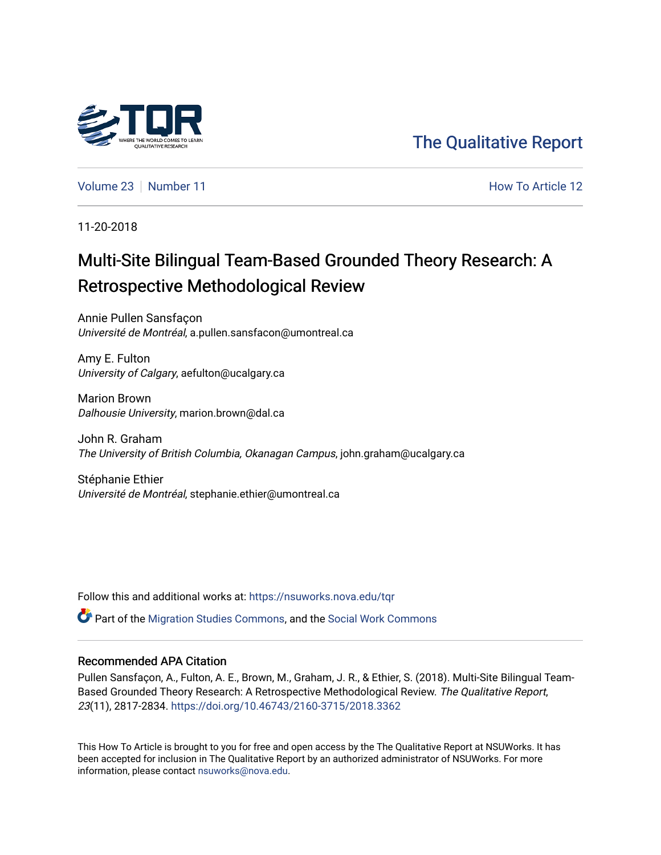

[The Qualitative Report](https://nsuworks.nova.edu/tqr) 

[Volume 23](https://nsuworks.nova.edu/tqr/vol23) [Number 11](https://nsuworks.nova.edu/tqr/vol23/iss11) **Number 11** According to Article 12 Article 12

11-20-2018

## Multi-Site Bilingual Team-Based Grounded Theory Research: A Retrospective Methodological Review

Annie Pullen Sansfaçon Université de Montréal, a.pullen.sansfacon@umontreal.ca

Amy E. Fulton University of Calgary, aefulton@ucalgary.ca

Marion Brown Dalhousie University, marion.brown@dal.ca

John R. Graham The University of British Columbia, Okanagan Campus, john.graham@ucalgary.ca

Stéphanie Ethier Université de Montréal, stephanie.ethier@umontreal.ca

Follow this and additional works at: [https://nsuworks.nova.edu/tqr](https://nsuworks.nova.edu/tqr?utm_source=nsuworks.nova.edu%2Ftqr%2Fvol23%2Fiss11%2F12&utm_medium=PDF&utm_campaign=PDFCoverPages) 

Part of the [Migration Studies Commons,](http://network.bepress.com/hgg/discipline/1394?utm_source=nsuworks.nova.edu%2Ftqr%2Fvol23%2Fiss11%2F12&utm_medium=PDF&utm_campaign=PDFCoverPages) and the [Social Work Commons](http://network.bepress.com/hgg/discipline/713?utm_source=nsuworks.nova.edu%2Ftqr%2Fvol23%2Fiss11%2F12&utm_medium=PDF&utm_campaign=PDFCoverPages) 

#### Recommended APA Citation

Pullen Sansfaçon, A., Fulton, A. E., Brown, M., Graham, J. R., & Ethier, S. (2018). Multi-Site Bilingual Team-Based Grounded Theory Research: A Retrospective Methodological Review. The Qualitative Report, 23(11), 2817-2834. <https://doi.org/10.46743/2160-3715/2018.3362>

This How To Article is brought to you for free and open access by the The Qualitative Report at NSUWorks. It has been accepted for inclusion in The Qualitative Report by an authorized administrator of NSUWorks. For more information, please contact [nsuworks@nova.edu.](mailto:nsuworks@nova.edu)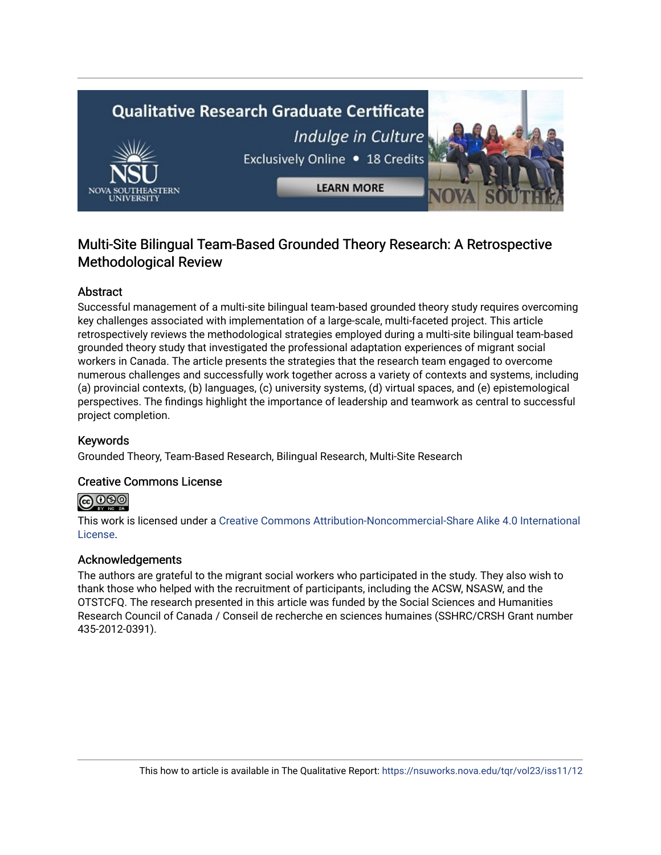# **Qualitative Research Graduate Certificate** Indulge in Culture Exclusively Online . 18 Credits **LEARN MORE**

### Multi-Site Bilingual Team-Based Grounded Theory Research: A Retrospective Methodological Review

#### Abstract

Successful management of a multi-site bilingual team-based grounded theory study requires overcoming key challenges associated with implementation of a large-scale, multi-faceted project. This article retrospectively reviews the methodological strategies employed during a multi-site bilingual team-based grounded theory study that investigated the professional adaptation experiences of migrant social workers in Canada. The article presents the strategies that the research team engaged to overcome numerous challenges and successfully work together across a variety of contexts and systems, including (a) provincial contexts, (b) languages, (c) university systems, (d) virtual spaces, and (e) epistemological perspectives. The findings highlight the importance of leadership and teamwork as central to successful project completion.

#### Keywords

Grounded Theory, Team-Based Research, Bilingual Research, Multi-Site Research

#### Creative Commons License

#### $\odot$ ©

This work is licensed under a [Creative Commons Attribution-Noncommercial-Share Alike 4.0 International](https://creativecommons.org/licenses/by-nc-sa/4.0/)  [License](https://creativecommons.org/licenses/by-nc-sa/4.0/).

#### Acknowledgements

The authors are grateful to the migrant social workers who participated in the study. They also wish to thank those who helped with the recruitment of participants, including the ACSW, NSASW, and the OTSTCFQ. The research presented in this article was funded by the Social Sciences and Humanities Research Council of Canada / Conseil de recherche en sciences humaines (SSHRC/CRSH Grant number 435-2012-0391).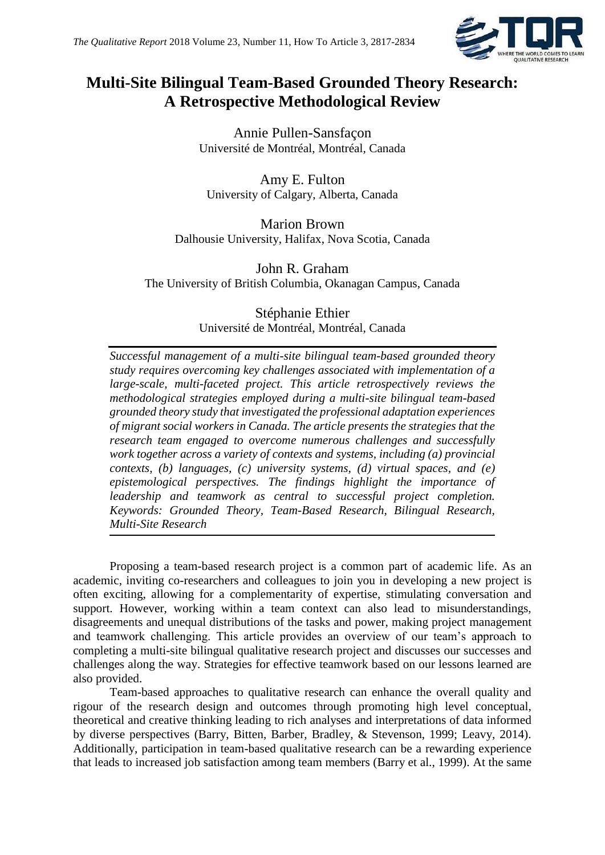

## **Multi-Site Bilingual Team-Based Grounded Theory Research: A Retrospective Methodological Review**

Annie Pullen-Sansfaçon Université de Montréal, Montréal, Canada

Amy E. Fulton University of Calgary, Alberta, Canada

Marion Brown Dalhousie University, Halifax, Nova Scotia, Canada

John R. Graham The University of British Columbia, Okanagan Campus, Canada

> Stéphanie Ethier Université de Montréal, Montréal, Canada

*Successful management of a multi-site bilingual team-based grounded theory study requires overcoming key challenges associated with implementation of a large-scale, multi-faceted project. This article retrospectively reviews the methodological strategies employed during a multi-site bilingual team-based grounded theory study that investigated the professional adaptation experiences of migrant social workers in Canada. The article presents the strategies that the research team engaged to overcome numerous challenges and successfully work together across a variety of contexts and systems, including (a) provincial contexts, (b) languages, (c) university systems, (d) virtual spaces, and (e) epistemological perspectives. The findings highlight the importance of leadership and teamwork as central to successful project completion. Keywords: Grounded Theory, Team-Based Research, Bilingual Research, Multi-Site Research*

Proposing a team-based research project is a common part of academic life. As an academic, inviting co-researchers and colleagues to join you in developing a new project is often exciting, allowing for a complementarity of expertise, stimulating conversation and support. However, working within a team context can also lead to misunderstandings, disagreements and unequal distributions of the tasks and power, making project management and teamwork challenging. This article provides an overview of our team's approach to completing a multi-site bilingual qualitative research project and discusses our successes and challenges along the way. Strategies for effective teamwork based on our lessons learned are also provided.

Team-based approaches to qualitative research can enhance the overall quality and rigour of the research design and outcomes through promoting high level conceptual, theoretical and creative thinking leading to rich analyses and interpretations of data informed by diverse perspectives (Barry, Bitten, Barber, Bradley, & Stevenson, 1999; Leavy, 2014). Additionally, participation in team-based qualitative research can be a rewarding experience that leads to increased job satisfaction among team members (Barry et al., 1999). At the same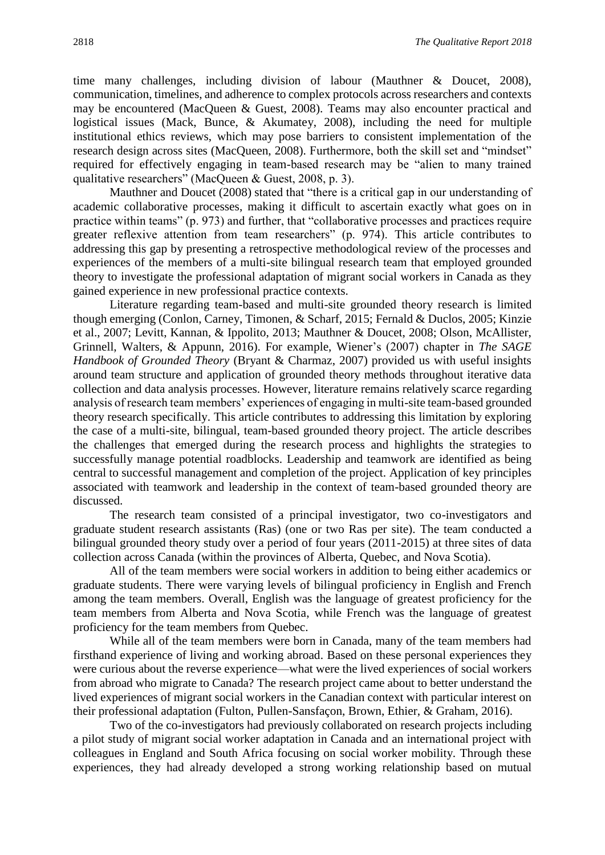time many challenges, including division of labour (Mauthner & Doucet, 2008), communication, timelines, and adherence to complex protocols across researchers and contexts may be encountered (MacQueen & Guest, 2008). Teams may also encounter practical and logistical issues (Mack, Bunce, & Akumatey, 2008), including the need for multiple institutional ethics reviews, which may pose barriers to consistent implementation of the research design across sites (MacQueen, 2008). Furthermore, both the skill set and "mindset" required for effectively engaging in team-based research may be "alien to many trained qualitative researchers" (MacQueen & Guest, 2008, p. 3).

Mauthner and Doucet (2008) stated that "there is a critical gap in our understanding of academic collaborative processes, making it difficult to ascertain exactly what goes on in practice within teams" (p. 973) and further, that "collaborative processes and practices require greater reflexive attention from team researchers" (p. 974). This article contributes to addressing this gap by presenting a retrospective methodological review of the processes and experiences of the members of a multi-site bilingual research team that employed grounded theory to investigate the professional adaptation of migrant social workers in Canada as they gained experience in new professional practice contexts.

Literature regarding team-based and multi-site grounded theory research is limited though emerging (Conlon, Carney, Timonen, & Scharf, 2015; Fernald & Duclos, 2005; Kinzie et al., 2007; Levitt, Kannan, & Ippolito, 2013; Mauthner & Doucet, 2008; Olson, McAllister, Grinnell, Walters, & Appunn, 2016). For example, Wiener's (2007) chapter in *The SAGE Handbook of Grounded Theory* (Bryant & Charmaz, 2007) provided us with useful insights around team structure and application of grounded theory methods throughout iterative data collection and data analysis processes. However, literature remains relatively scarce regarding analysis of research team members' experiences of engaging in multi-site team-based grounded theory research specifically. This article contributes to addressing this limitation by exploring the case of a multi-site, bilingual, team-based grounded theory project. The article describes the challenges that emerged during the research process and highlights the strategies to successfully manage potential roadblocks. Leadership and teamwork are identified as being central to successful management and completion of the project. Application of key principles associated with teamwork and leadership in the context of team-based grounded theory are discussed.

The research team consisted of a principal investigator, two co-investigators and graduate student research assistants (Ras) (one or two Ras per site). The team conducted a bilingual grounded theory study over a period of four years (2011-2015) at three sites of data collection across Canada (within the provinces of Alberta, Quebec, and Nova Scotia).

All of the team members were social workers in addition to being either academics or graduate students. There were varying levels of bilingual proficiency in English and French among the team members. Overall, English was the language of greatest proficiency for the team members from Alberta and Nova Scotia, while French was the language of greatest proficiency for the team members from Quebec.

While all of the team members were born in Canada, many of the team members had firsthand experience of living and working abroad. Based on these personal experiences they were curious about the reverse experience—what were the lived experiences of social workers from abroad who migrate to Canada? The research project came about to better understand the lived experiences of migrant social workers in the Canadian context with particular interest on their professional adaptation (Fulton, Pullen-Sansfaçon, Brown, Ethier, & Graham, 2016).

Two of the co-investigators had previously collaborated on research projects including a pilot study of migrant social worker adaptation in Canada and an international project with colleagues in England and South Africa focusing on social worker mobility. Through these experiences, they had already developed a strong working relationship based on mutual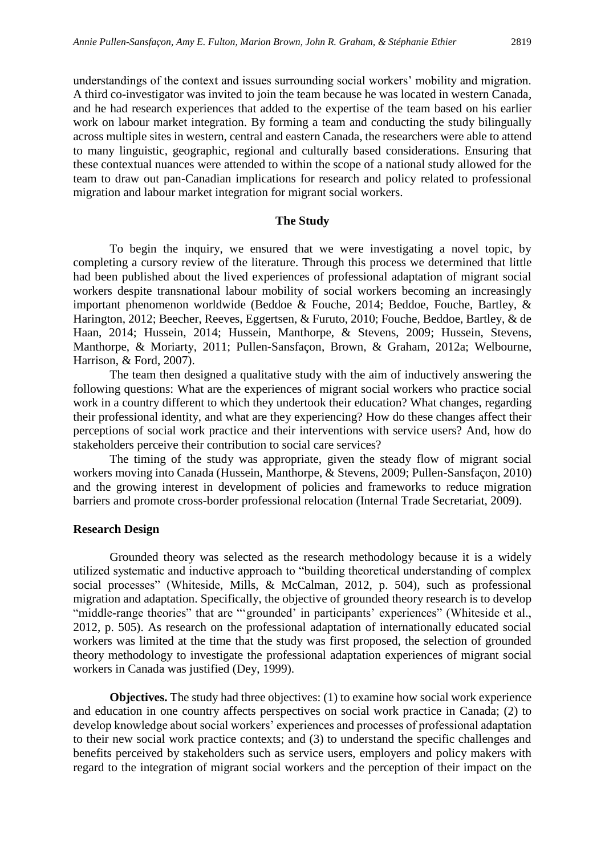understandings of the context and issues surrounding social workers' mobility and migration. A third co-investigator was invited to join the team because he was located in western Canada, and he had research experiences that added to the expertise of the team based on his earlier work on labour market integration. By forming a team and conducting the study bilingually across multiple sites in western, central and eastern Canada, the researchers were able to attend to many linguistic, geographic, regional and culturally based considerations. Ensuring that these contextual nuances were attended to within the scope of a national study allowed for the team to draw out pan-Canadian implications for research and policy related to professional migration and labour market integration for migrant social workers.

#### **The Study**

To begin the inquiry, we ensured that we were investigating a novel topic, by completing a cursory review of the literature. Through this process we determined that little had been published about the lived experiences of professional adaptation of migrant social workers despite transnational labour mobility of social workers becoming an increasingly important phenomenon worldwide (Beddoe & Fouche, 2014; Beddoe, Fouche, Bartley, & Harington, 2012; Beecher, Reeves, Eggertsen, & Furuto, 2010; Fouche, Beddoe, Bartley, & de Haan, 2014; Hussein, 2014; Hussein, Manthorpe, & Stevens, 2009; Hussein, Stevens, Manthorpe, & Moriarty, 2011; Pullen-Sansfaçon, Brown, & Graham, 2012a; Welbourne, Harrison, & Ford, 2007).

The team then designed a qualitative study with the aim of inductively answering the following questions: What are the experiences of migrant social workers who practice social work in a country different to which they undertook their education? What changes, regarding their professional identity, and what are they experiencing? How do these changes affect their perceptions of social work practice and their interventions with service users? And, how do stakeholders perceive their contribution to social care services?

The timing of the study was appropriate, given the steady flow of migrant social workers moving into Canada (Hussein, Manthorpe, & Stevens, 2009; Pullen-Sansfaçon, 2010) and the growing interest in development of policies and frameworks to reduce migration barriers and promote cross-border professional relocation (Internal Trade Secretariat, 2009).

#### **Research Design**

Grounded theory was selected as the research methodology because it is a widely utilized systematic and inductive approach to "building theoretical understanding of complex social processes" (Whiteside, Mills, & McCalman, 2012, p. 504), such as professional migration and adaptation. Specifically, the objective of grounded theory research is to develop "middle-range theories" that are "'grounded' in participants' experiences" (Whiteside et al., 2012, p. 505). As research on the professional adaptation of internationally educated social workers was limited at the time that the study was first proposed, the selection of grounded theory methodology to investigate the professional adaptation experiences of migrant social workers in Canada was justified (Dey, 1999).

**Objectives.** The study had three objectives: (1) to examine how social work experience and education in one country affects perspectives on social work practice in Canada; (2) to develop knowledge about social workers' experiences and processes of professional adaptation to their new social work practice contexts; and (3) to understand the specific challenges and benefits perceived by stakeholders such as service users, employers and policy makers with regard to the integration of migrant social workers and the perception of their impact on the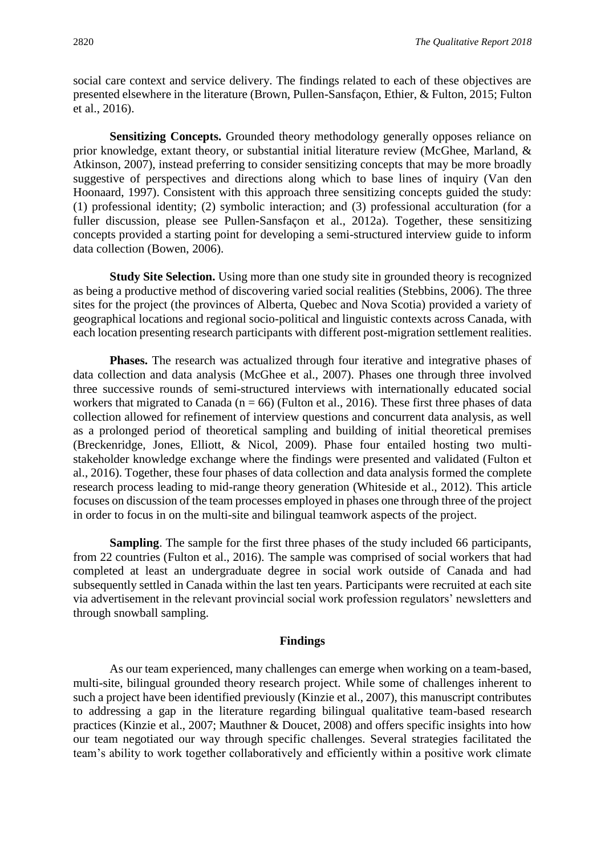social care context and service delivery. The findings related to each of these objectives are presented elsewhere in the literature (Brown, Pullen-Sansfaçon, Ethier, & Fulton, 2015; Fulton et al., 2016).

**Sensitizing Concepts.** Grounded theory methodology generally opposes reliance on prior knowledge, extant theory, or substantial initial literature review (McGhee, Marland, & Atkinson, 2007), instead preferring to consider sensitizing concepts that may be more broadly suggestive of perspectives and directions along which to base lines of inquiry (Van den Hoonaard, 1997). Consistent with this approach three sensitizing concepts guided the study: (1) professional identity; (2) symbolic interaction; and (3) professional acculturation (for a fuller discussion, please see Pullen-Sansfaçon et al., 2012a). Together, these sensitizing concepts provided a starting point for developing a semi-structured interview guide to inform data collection (Bowen, 2006).

**Study Site Selection.** Using more than one study site in grounded theory is recognized as being a productive method of discovering varied social realities (Stebbins, 2006). The three sites for the project (the provinces of Alberta, Quebec and Nova Scotia) provided a variety of geographical locations and regional socio-political and linguistic contexts across Canada, with each location presenting research participants with different post-migration settlement realities.

**Phases.** The research was actualized through four iterative and integrative phases of data collection and data analysis (McGhee et al., 2007). Phases one through three involved three successive rounds of semi-structured interviews with internationally educated social workers that migrated to Canada ( $n = 66$ ) (Fulton et al., 2016). These first three phases of data collection allowed for refinement of interview questions and concurrent data analysis, as well as a prolonged period of theoretical sampling and building of initial theoretical premises (Breckenridge, Jones, Elliott, & Nicol, 2009). Phase four entailed hosting two multistakeholder knowledge exchange where the findings were presented and validated (Fulton et al., 2016). Together, these four phases of data collection and data analysis formed the complete research process leading to mid-range theory generation (Whiteside et al., 2012). This article focuses on discussion of the team processes employed in phases one through three of the project in order to focus in on the multi-site and bilingual teamwork aspects of the project.

**Sampling**. The sample for the first three phases of the study included 66 participants, from 22 countries (Fulton et al., 2016). The sample was comprised of social workers that had completed at least an undergraduate degree in social work outside of Canada and had subsequently settled in Canada within the last ten years. Participants were recruited at each site via advertisement in the relevant provincial social work profession regulators' newsletters and through snowball sampling.

#### **Findings**

As our team experienced, many challenges can emerge when working on a team-based, multi-site, bilingual grounded theory research project. While some of challenges inherent to such a project have been identified previously (Kinzie et al., 2007), this manuscript contributes to addressing a gap in the literature regarding bilingual qualitative team-based research practices (Kinzie et al., 2007; Mauthner & Doucet, 2008) and offers specific insights into how our team negotiated our way through specific challenges. Several strategies facilitated the team's ability to work together collaboratively and efficiently within a positive work climate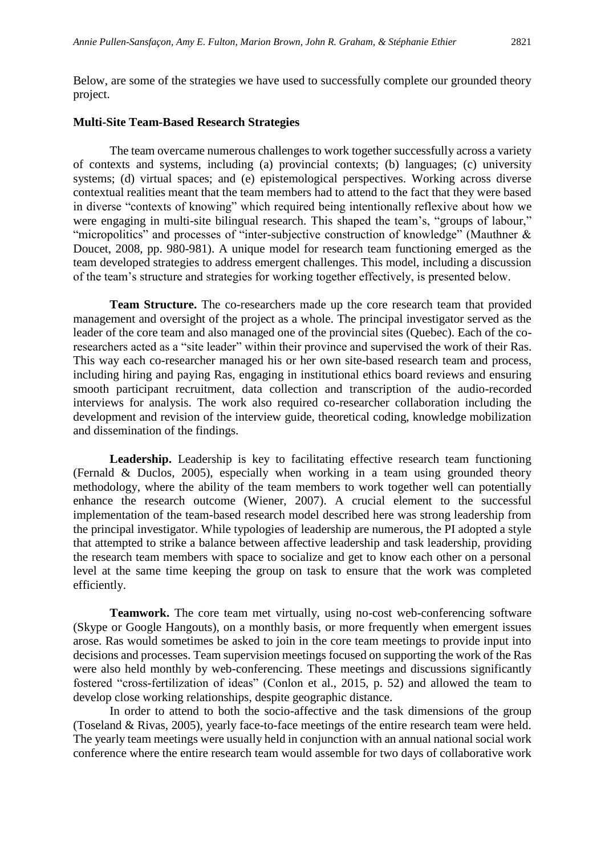Below, are some of the strategies we have used to successfully complete our grounded theory project.

#### **Multi-Site Team-Based Research Strategies**

The team overcame numerous challenges to work together successfully across a variety of contexts and systems, including (a) provincial contexts; (b) languages; (c) university systems; (d) virtual spaces; and (e) epistemological perspectives. Working across diverse contextual realities meant that the team members had to attend to the fact that they were based in diverse "contexts of knowing" which required being intentionally reflexive about how we were engaging in multi-site bilingual research. This shaped the team's, "groups of labour," "micropolitics" and processes of "inter-subjective construction of knowledge" (Mauthner & Doucet, 2008, pp. 980-981). A unique model for research team functioning emerged as the team developed strategies to address emergent challenges. This model, including a discussion of the team's structure and strategies for working together effectively, is presented below.

**Team Structure.** The co-researchers made up the core research team that provided management and oversight of the project as a whole. The principal investigator served as the leader of the core team and also managed one of the provincial sites (Quebec). Each of the coresearchers acted as a "site leader" within their province and supervised the work of their Ras. This way each co-researcher managed his or her own site-based research team and process, including hiring and paying Ras, engaging in institutional ethics board reviews and ensuring smooth participant recruitment, data collection and transcription of the audio-recorded interviews for analysis. The work also required co-researcher collaboration including the development and revision of the interview guide, theoretical coding, knowledge mobilization and dissemination of the findings.

Leadership. Leadership is key to facilitating effective research team functioning (Fernald & Duclos, 2005), especially when working in a team using grounded theory methodology, where the ability of the team members to work together well can potentially enhance the research outcome (Wiener, 2007). A crucial element to the successful implementation of the team-based research model described here was strong leadership from the principal investigator. While typologies of leadership are numerous, the PI adopted a style that attempted to strike a balance between affective leadership and task leadership, providing the research team members with space to socialize and get to know each other on a personal level at the same time keeping the group on task to ensure that the work was completed efficiently.

**Teamwork.** The core team met virtually, using no-cost web-conferencing software (Skype or Google Hangouts), on a monthly basis, or more frequently when emergent issues arose. Ras would sometimes be asked to join in the core team meetings to provide input into decisions and processes. Team supervision meetings focused on supporting the work of the Ras were also held monthly by web-conferencing. These meetings and discussions significantly fostered "cross-fertilization of ideas" (Conlon et al., 2015, p. 52) and allowed the team to develop close working relationships, despite geographic distance.

In order to attend to both the socio-affective and the task dimensions of the group (Toseland & Rivas, 2005), yearly face-to-face meetings of the entire research team were held. The yearly team meetings were usually held in conjunction with an annual national social work conference where the entire research team would assemble for two days of collaborative work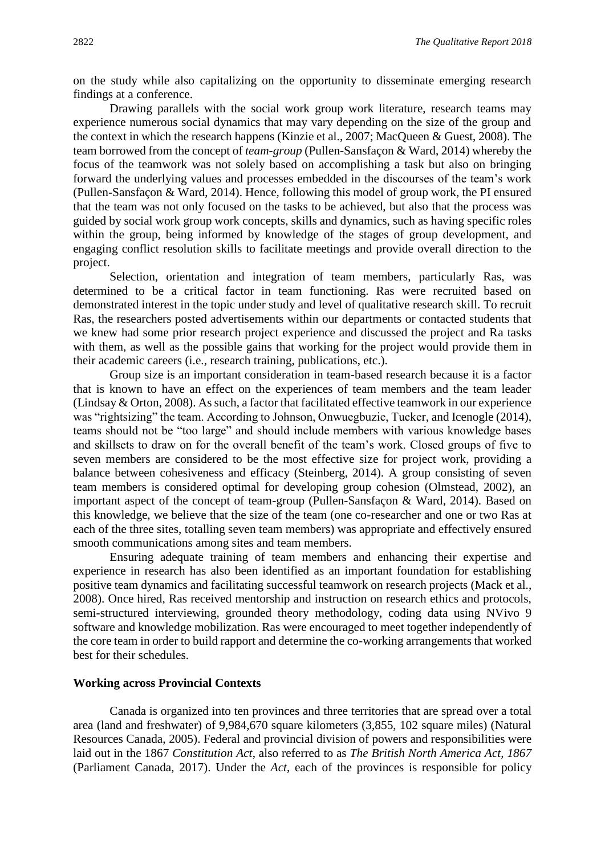on the study while also capitalizing on the opportunity to disseminate emerging research findings at a conference.

Drawing parallels with the social work group work literature, research teams may experience numerous social dynamics that may vary depending on the size of the group and the context in which the research happens (Kinzie et al., 2007; MacQueen & Guest, 2008). The team borrowed from the concept of *team-group* (Pullen-Sansfaçon & Ward, 2014) whereby the focus of the teamwork was not solely based on accomplishing a task but also on bringing forward the underlying values and processes embedded in the discourses of the team's work (Pullen-Sansfaçon & Ward, 2014). Hence, following this model of group work, the PI ensured that the team was not only focused on the tasks to be achieved, but also that the process was guided by social work group work concepts, skills and dynamics, such as having specific roles within the group, being informed by knowledge of the stages of group development, and engaging conflict resolution skills to facilitate meetings and provide overall direction to the project.

Selection, orientation and integration of team members, particularly Ras, was determined to be a critical factor in team functioning. Ras were recruited based on demonstrated interest in the topic under study and level of qualitative research skill. To recruit Ras, the researchers posted advertisements within our departments or contacted students that we knew had some prior research project experience and discussed the project and Ra tasks with them, as well as the possible gains that working for the project would provide them in their academic careers (i.e., research training, publications, etc.).

Group size is an important consideration in team-based research because it is a factor that is known to have an effect on the experiences of team members and the team leader (Lindsay & Orton, 2008). As such, a factor that facilitated effective teamwork in our experience was "rightsizing" the team. According to Johnson, Onwuegbuzie, Tucker, and Icenogle (2014), teams should not be "too large" and should include members with various knowledge bases and skillsets to draw on for the overall benefit of the team's work. Closed groups of five to seven members are considered to be the most effective size for project work, providing a balance between cohesiveness and efficacy (Steinberg, 2014). A group consisting of seven team members is considered optimal for developing group cohesion (Olmstead, 2002), an important aspect of the concept of team-group (Pullen-Sansfaçon & Ward, 2014). Based on this knowledge, we believe that the size of the team (one co-researcher and one or two Ras at each of the three sites, totalling seven team members) was appropriate and effectively ensured smooth communications among sites and team members.

Ensuring adequate training of team members and enhancing their expertise and experience in research has also been identified as an important foundation for establishing positive team dynamics and facilitating successful teamwork on research projects (Mack et al., 2008). Once hired, Ras received mentorship and instruction on research ethics and protocols, semi-structured interviewing, grounded theory methodology, coding data using NVivo 9 software and knowledge mobilization. Ras were encouraged to meet together independently of the core team in order to build rapport and determine the co-working arrangements that worked best for their schedules.

#### **Working across Provincial Contexts**

Canada is organized into ten provinces and three territories that are spread over a total area (land and freshwater) of 9,984,670 square kilometers (3,855, 102 square miles) (Natural Resources Canada, 2005). Federal and provincial division of powers and responsibilities were laid out in the 1867 *Constitution Act*, also referred to as *The British North America Act, 1867*  (Parliament Canada, 2017). Under the *Act*, each of the provinces is responsible for policy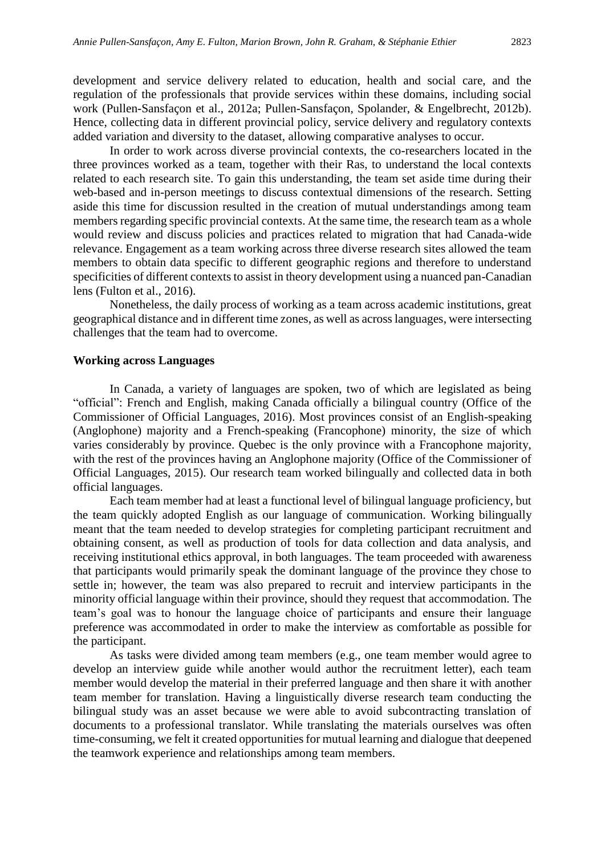development and service delivery related to education, health and social care, and the regulation of the professionals that provide services within these domains, including social work (Pullen-Sansfaçon et al., 2012a; Pullen-Sansfaçon, Spolander, & Engelbrecht, 2012b). Hence, collecting data in different provincial policy, service delivery and regulatory contexts added variation and diversity to the dataset, allowing comparative analyses to occur.

In order to work across diverse provincial contexts, the co-researchers located in the three provinces worked as a team, together with their Ras, to understand the local contexts related to each research site. To gain this understanding, the team set aside time during their web-based and in-person meetings to discuss contextual dimensions of the research. Setting aside this time for discussion resulted in the creation of mutual understandings among team members regarding specific provincial contexts. At the same time, the research team as a whole would review and discuss policies and practices related to migration that had Canada-wide relevance. Engagement as a team working across three diverse research sites allowed the team members to obtain data specific to different geographic regions and therefore to understand specificities of different contexts to assist in theory development using a nuanced pan-Canadian lens (Fulton et al., 2016).

Nonetheless, the daily process of working as a team across academic institutions, great geographical distance and in different time zones, as well as across languages, were intersecting challenges that the team had to overcome.

#### **Working across Languages**

In Canada, a variety of languages are spoken, two of which are legislated as being "official": French and English, making Canada officially a bilingual country (Office of the Commissioner of Official Languages, 2016). Most provinces consist of an English-speaking (Anglophone) majority and a French-speaking (Francophone) minority, the size of which varies considerably by province. Quebec is the only province with a Francophone majority, with the rest of the provinces having an Anglophone majority (Office of the Commissioner of Official Languages, 2015). Our research team worked bilingually and collected data in both official languages.

Each team member had at least a functional level of bilingual language proficiency, but the team quickly adopted English as our language of communication. Working bilingually meant that the team needed to develop strategies for completing participant recruitment and obtaining consent, as well as production of tools for data collection and data analysis, and receiving institutional ethics approval, in both languages. The team proceeded with awareness that participants would primarily speak the dominant language of the province they chose to settle in; however, the team was also prepared to recruit and interview participants in the minority official language within their province, should they request that accommodation. The team's goal was to honour the language choice of participants and ensure their language preference was accommodated in order to make the interview as comfortable as possible for the participant.

As tasks were divided among team members (e.g., one team member would agree to develop an interview guide while another would author the recruitment letter), each team member would develop the material in their preferred language and then share it with another team member for translation. Having a linguistically diverse research team conducting the bilingual study was an asset because we were able to avoid subcontracting translation of documents to a professional translator. While translating the materials ourselves was often time-consuming, we felt it created opportunities for mutual learning and dialogue that deepened the teamwork experience and relationships among team members.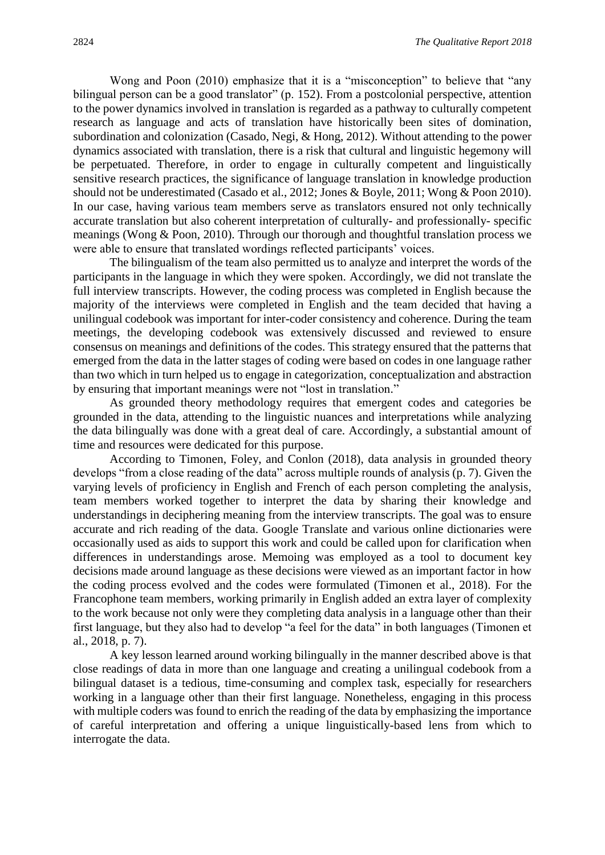Wong and Poon (2010) emphasize that it is a "misconception" to believe that "any bilingual person can be a good translator" (p. 152). From a postcolonial perspective, attention to the power dynamics involved in translation is regarded as a pathway to culturally competent research as language and acts of translation have historically been sites of domination, subordination and colonization (Casado, Negi, & Hong, 2012). Without attending to the power dynamics associated with translation, there is a risk that cultural and linguistic hegemony will be perpetuated. Therefore, in order to engage in culturally competent and linguistically sensitive research practices, the significance of language translation in knowledge production should not be underestimated (Casado et al., 2012; Jones & Boyle, 2011; Wong & Poon 2010). In our case, having various team members serve as translators ensured not only technically accurate translation but also coherent interpretation of culturally- and professionally- specific meanings (Wong & Poon, 2010). Through our thorough and thoughtful translation process we were able to ensure that translated wordings reflected participants' voices.

The bilingualism of the team also permitted us to analyze and interpret the words of the participants in the language in which they were spoken. Accordingly, we did not translate the full interview transcripts. However, the coding process was completed in English because the majority of the interviews were completed in English and the team decided that having a unilingual codebook was important for inter-coder consistency and coherence. During the team meetings, the developing codebook was extensively discussed and reviewed to ensure consensus on meanings and definitions of the codes. This strategy ensured that the patterns that emerged from the data in the latter stages of coding were based on codes in one language rather than two which in turn helped us to engage in categorization, conceptualization and abstraction by ensuring that important meanings were not "lost in translation."

As grounded theory methodology requires that emergent codes and categories be grounded in the data, attending to the linguistic nuances and interpretations while analyzing the data bilingually was done with a great deal of care. Accordingly, a substantial amount of time and resources were dedicated for this purpose.

According to Timonen, Foley, and Conlon (2018), data analysis in grounded theory develops "from a close reading of the data" across multiple rounds of analysis (p. 7). Given the varying levels of proficiency in English and French of each person completing the analysis, team members worked together to interpret the data by sharing their knowledge and understandings in deciphering meaning from the interview transcripts. The goal was to ensure accurate and rich reading of the data. Google Translate and various online dictionaries were occasionally used as aids to support this work and could be called upon for clarification when differences in understandings arose. Memoing was employed as a tool to document key decisions made around language as these decisions were viewed as an important factor in how the coding process evolved and the codes were formulated (Timonen et al., 2018). For the Francophone team members, working primarily in English added an extra layer of complexity to the work because not only were they completing data analysis in a language other than their first language, but they also had to develop "a feel for the data" in both languages (Timonen et al., 2018, p. 7).

A key lesson learned around working bilingually in the manner described above is that close readings of data in more than one language and creating a unilingual codebook from a bilingual dataset is a tedious, time-consuming and complex task, especially for researchers working in a language other than their first language. Nonetheless, engaging in this process with multiple coders was found to enrich the reading of the data by emphasizing the importance of careful interpretation and offering a unique linguistically-based lens from which to interrogate the data.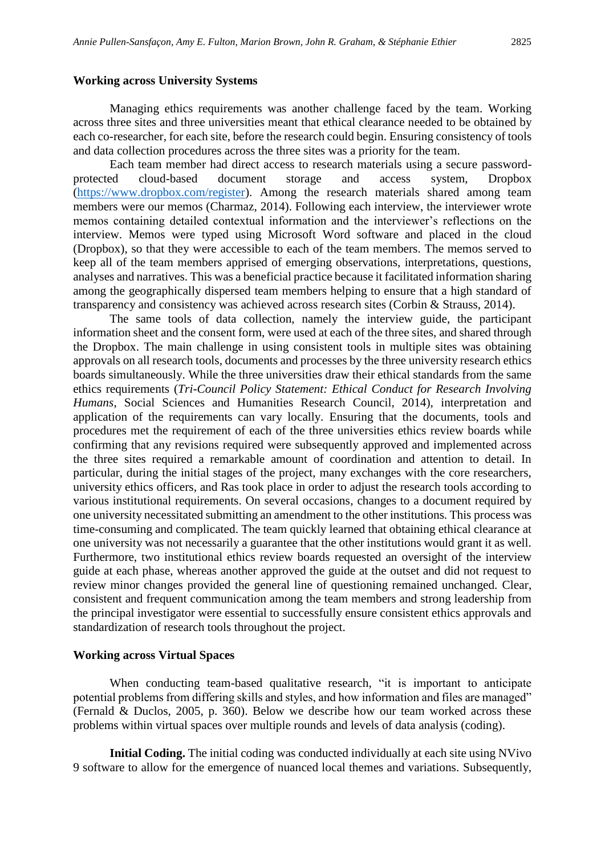#### **Working across University Systems**

Managing ethics requirements was another challenge faced by the team. Working across three sites and three universities meant that ethical clearance needed to be obtained by each co-researcher, for each site, before the research could begin. Ensuring consistency of tools and data collection procedures across the three sites was a priority for the team.

Each team member had direct access to research materials using a secure passwordprotected cloud-based document storage and access system, Dropbox [\(https://www.dropbox.com/register\)](https://www.dropbox.com/register). Among the research materials shared among team members were our memos (Charmaz, 2014). Following each interview, the interviewer wrote memos containing detailed contextual information and the interviewer's reflections on the interview. Memos were typed using Microsoft Word software and placed in the cloud (Dropbox), so that they were accessible to each of the team members. The memos served to keep all of the team members apprised of emerging observations, interpretations, questions, analyses and narratives. This was a beneficial practice because it facilitated information sharing among the geographically dispersed team members helping to ensure that a high standard of transparency and consistency was achieved across research sites (Corbin & Strauss, 2014).

The same tools of data collection, namely the interview guide, the participant information sheet and the consent form, were used at each of the three sites, and shared through the Dropbox. The main challenge in using consistent tools in multiple sites was obtaining approvals on all research tools, documents and processes by the three university research ethics boards simultaneously. While the three universities draw their ethical standards from the same ethics requirements (*Tri-Council Policy Statement: Ethical Conduct for Research Involving Humans*, Social Sciences and Humanities Research Council, 2014), interpretation and application of the requirements can vary locally. Ensuring that the documents, tools and procedures met the requirement of each of the three universities ethics review boards while confirming that any revisions required were subsequently approved and implemented across the three sites required a remarkable amount of coordination and attention to detail. In particular, during the initial stages of the project, many exchanges with the core researchers, university ethics officers, and Ras took place in order to adjust the research tools according to various institutional requirements. On several occasions, changes to a document required by one university necessitated submitting an amendment to the other institutions. This process was time-consuming and complicated. The team quickly learned that obtaining ethical clearance at one university was not necessarily a guarantee that the other institutions would grant it as well. Furthermore, two institutional ethics review boards requested an oversight of the interview guide at each phase, whereas another approved the guide at the outset and did not request to review minor changes provided the general line of questioning remained unchanged. Clear, consistent and frequent communication among the team members and strong leadership from the principal investigator were essential to successfully ensure consistent ethics approvals and standardization of research tools throughout the project.

#### **Working across Virtual Spaces**

When conducting team-based qualitative research, "it is important to anticipate potential problems from differing skills and styles, and how information and files are managed" (Fernald & Duclos, 2005, p. 360). Below we describe how our team worked across these problems within virtual spaces over multiple rounds and levels of data analysis (coding).

**Initial Coding.** The initial coding was conducted individually at each site using NVivo 9 software to allow for the emergence of nuanced local themes and variations. Subsequently,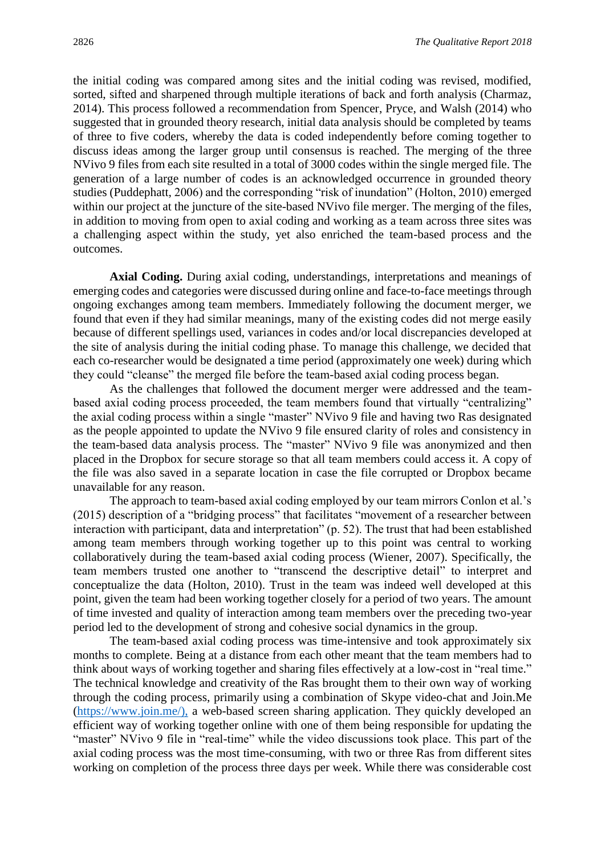the initial coding was compared among sites and the initial coding was revised, modified, sorted, sifted and sharpened through multiple iterations of back and forth analysis (Charmaz, 2014). This process followed a recommendation from Spencer, Pryce, and Walsh (2014) who suggested that in grounded theory research, initial data analysis should be completed by teams of three to five coders, whereby the data is coded independently before coming together to discuss ideas among the larger group until consensus is reached. The merging of the three NVivo 9 files from each site resulted in a total of 3000 codes within the single merged file. The generation of a large number of codes is an acknowledged occurrence in grounded theory studies (Puddephatt, 2006) and the corresponding "risk of inundation" (Holton, 2010) emerged within our project at the juncture of the site-based NVivo file merger. The merging of the files, in addition to moving from open to axial coding and working as a team across three sites was a challenging aspect within the study, yet also enriched the team-based process and the outcomes.

**Axial Coding.** During axial coding, understandings, interpretations and meanings of emerging codes and categories were discussed during online and face-to-face meetings through ongoing exchanges among team members. Immediately following the document merger, we found that even if they had similar meanings, many of the existing codes did not merge easily because of different spellings used, variances in codes and/or local discrepancies developed at the site of analysis during the initial coding phase. To manage this challenge, we decided that each co-researcher would be designated a time period (approximately one week) during which they could "cleanse" the merged file before the team-based axial coding process began.

As the challenges that followed the document merger were addressed and the teambased axial coding process proceeded, the team members found that virtually "centralizing" the axial coding process within a single "master" NVivo 9 file and having two Ras designated as the people appointed to update the NVivo 9 file ensured clarity of roles and consistency in the team-based data analysis process. The "master" NVivo 9 file was anonymized and then placed in the Dropbox for secure storage so that all team members could access it. A copy of the file was also saved in a separate location in case the file corrupted or Dropbox became unavailable for any reason.

The approach to team-based axial coding employed by our team mirrors Conlon et al.'s (2015) description of a "bridging process" that facilitates "movement of a researcher between interaction with participant, data and interpretation" (p. 52). The trust that had been established among team members through working together up to this point was central to working collaboratively during the team-based axial coding process (Wiener, 2007). Specifically, the team members trusted one another to "transcend the descriptive detail" to interpret and conceptualize the data (Holton, 2010). Trust in the team was indeed well developed at this point, given the team had been working together closely for a period of two years. The amount of time invested and quality of interaction among team members over the preceding two-year period led to the development of strong and cohesive social dynamics in the group.

The team-based axial coding process was time-intensive and took approximately six months to complete. Being at a distance from each other meant that the team members had to think about ways of working together and sharing files effectively at a low-cost in "real time." The technical knowledge and creativity of the Ras brought them to their own way of working through the coding process, primarily using a combination of Skype video-chat and Join.Me [\(https://www.join.me/\),](https://www.join.me/),) a web-based screen sharing application. They quickly developed an efficient way of working together online with one of them being responsible for updating the "master" NVivo 9 file in "real-time" while the video discussions took place. This part of the axial coding process was the most time-consuming, with two or three Ras from different sites working on completion of the process three days per week. While there was considerable cost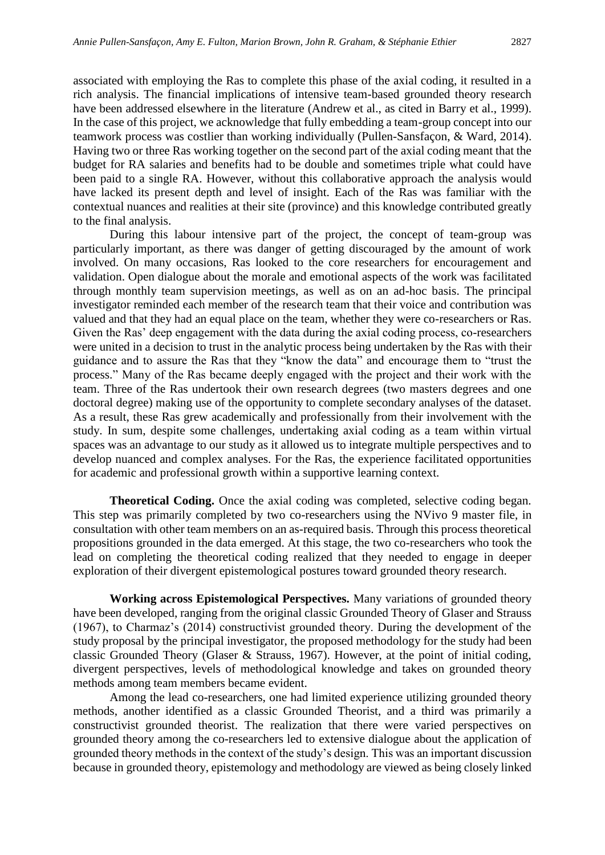associated with employing the Ras to complete this phase of the axial coding, it resulted in a rich analysis. The financial implications of intensive team-based grounded theory research have been addressed elsewhere in the literature (Andrew et al., as cited in Barry et al., 1999). In the case of this project, we acknowledge that fully embedding a team-group concept into our teamwork process was costlier than working individually (Pullen-Sansfaçon, & Ward, 2014). Having two or three Ras working together on the second part of the axial coding meant that the budget for RA salaries and benefits had to be double and sometimes triple what could have been paid to a single RA. However, without this collaborative approach the analysis would have lacked its present depth and level of insight. Each of the Ras was familiar with the contextual nuances and realities at their site (province) and this knowledge contributed greatly to the final analysis.

During this labour intensive part of the project, the concept of team-group was particularly important, as there was danger of getting discouraged by the amount of work involved. On many occasions, Ras looked to the core researchers for encouragement and validation. Open dialogue about the morale and emotional aspects of the work was facilitated through monthly team supervision meetings, as well as on an ad-hoc basis. The principal investigator reminded each member of the research team that their voice and contribution was valued and that they had an equal place on the team, whether they were co-researchers or Ras. Given the Ras' deep engagement with the data during the axial coding process, co-researchers were united in a decision to trust in the analytic process being undertaken by the Ras with their guidance and to assure the Ras that they "know the data" and encourage them to "trust the process." Many of the Ras became deeply engaged with the project and their work with the team. Three of the Ras undertook their own research degrees (two masters degrees and one doctoral degree) making use of the opportunity to complete secondary analyses of the dataset. As a result, these Ras grew academically and professionally from their involvement with the study. In sum, despite some challenges, undertaking axial coding as a team within virtual spaces was an advantage to our study as it allowed us to integrate multiple perspectives and to develop nuanced and complex analyses. For the Ras, the experience facilitated opportunities for academic and professional growth within a supportive learning context.

**Theoretical Coding.** Once the axial coding was completed, selective coding began. This step was primarily completed by two co-researchers using the NVivo 9 master file, in consultation with other team members on an as-required basis. Through this process theoretical propositions grounded in the data emerged. At this stage, the two co-researchers who took the lead on completing the theoretical coding realized that they needed to engage in deeper exploration of their divergent epistemological postures toward grounded theory research.

**Working across Epistemological Perspectives.** Many variations of grounded theory have been developed, ranging from the original classic Grounded Theory of Glaser and Strauss (1967), to Charmaz's (2014) constructivist grounded theory. During the development of the study proposal by the principal investigator, the proposed methodology for the study had been classic Grounded Theory (Glaser & Strauss, 1967). However, at the point of initial coding, divergent perspectives, levels of methodological knowledge and takes on grounded theory methods among team members became evident.

Among the lead co-researchers, one had limited experience utilizing grounded theory methods, another identified as a classic Grounded Theorist, and a third was primarily a constructivist grounded theorist. The realization that there were varied perspectives on grounded theory among the co-researchers led to extensive dialogue about the application of grounded theory methods in the context of the study's design. This was an important discussion because in grounded theory, epistemology and methodology are viewed as being closely linked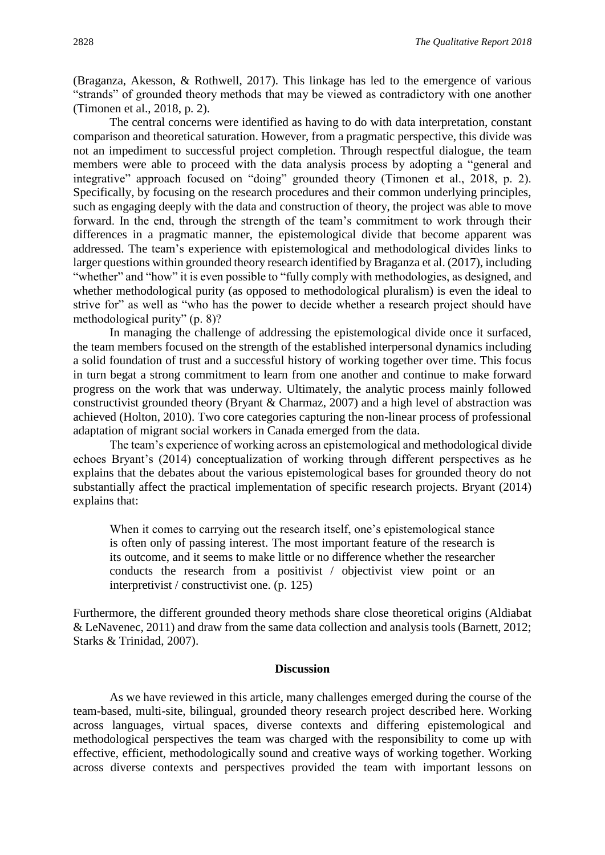(Braganza, Akesson, & Rothwell, 2017). This linkage has led to the emergence of various "strands" of grounded theory methods that may be viewed as contradictory with one another (Timonen et al., 2018, p. 2).

The central concerns were identified as having to do with data interpretation, constant comparison and theoretical saturation. However, from a pragmatic perspective, this divide was not an impediment to successful project completion. Through respectful dialogue, the team members were able to proceed with the data analysis process by adopting a "general and integrative" approach focused on "doing" grounded theory (Timonen et al., 2018, p. 2). Specifically, by focusing on the research procedures and their common underlying principles, such as engaging deeply with the data and construction of theory, the project was able to move forward. In the end, through the strength of the team's commitment to work through their differences in a pragmatic manner, the epistemological divide that become apparent was addressed. The team's experience with epistemological and methodological divides links to larger questions within grounded theory research identified by Braganza et al. (2017), including "whether" and "how" it is even possible to "fully comply with methodologies, as designed, and whether methodological purity (as opposed to methodological pluralism) is even the ideal to strive for" as well as "who has the power to decide whether a research project should have methodological purity" (p. 8)?

In managing the challenge of addressing the epistemological divide once it surfaced, the team members focused on the strength of the established interpersonal dynamics including a solid foundation of trust and a successful history of working together over time. This focus in turn begat a strong commitment to learn from one another and continue to make forward progress on the work that was underway. Ultimately, the analytic process mainly followed constructivist grounded theory (Bryant & Charmaz, 2007) and a high level of abstraction was achieved (Holton, 2010). Two core categories capturing the non-linear process of professional adaptation of migrant social workers in Canada emerged from the data.

The team's experience of working across an epistemological and methodological divide echoes Bryant's (2014) conceptualization of working through different perspectives as he explains that the debates about the various epistemological bases for grounded theory do not substantially affect the practical implementation of specific research projects. Bryant (2014) explains that:

When it comes to carrying out the research itself, one's epistemological stance is often only of passing interest. The most important feature of the research is its outcome, and it seems to make little or no difference whether the researcher conducts the research from a positivist / objectivist view point or an interpretivist / constructivist one. (p. 125)

Furthermore, the different grounded theory methods share close theoretical origins (Aldiabat & LeNavenec, 2011) and draw from the same data collection and analysis tools (Barnett, 2012; Starks & Trinidad, 2007).

#### **Discussion**

As we have reviewed in this article, many challenges emerged during the course of the team-based, multi-site, bilingual, grounded theory research project described here. Working across languages, virtual spaces, diverse contexts and differing epistemological and methodological perspectives the team was charged with the responsibility to come up with effective, efficient, methodologically sound and creative ways of working together. Working across diverse contexts and perspectives provided the team with important lessons on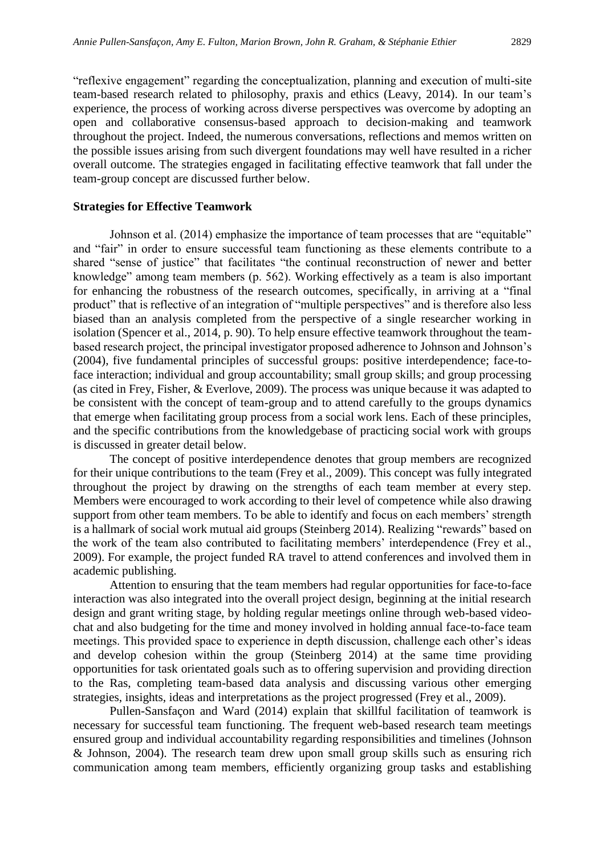"reflexive engagement" regarding the conceptualization, planning and execution of multi-site team-based research related to philosophy, praxis and ethics (Leavy, 2014). In our team's experience, the process of working across diverse perspectives was overcome by adopting an open and collaborative consensus-based approach to decision-making and teamwork throughout the project. Indeed, the numerous conversations, reflections and memos written on the possible issues arising from such divergent foundations may well have resulted in a richer overall outcome. The strategies engaged in facilitating effective teamwork that fall under the team-group concept are discussed further below.

#### **Strategies for Effective Teamwork**

Johnson et al. (2014) emphasize the importance of team processes that are "equitable" and "fair" in order to ensure successful team functioning as these elements contribute to a shared "sense of justice" that facilitates "the continual reconstruction of newer and better knowledge" among team members (p. 562). Working effectively as a team is also important for enhancing the robustness of the research outcomes, specifically, in arriving at a "final product" that is reflective of an integration of "multiple perspectives" and is therefore also less biased than an analysis completed from the perspective of a single researcher working in isolation (Spencer et al., 2014, p. 90). To help ensure effective teamwork throughout the teambased research project, the principal investigator proposed adherence to Johnson and Johnson's (2004), five fundamental principles of successful groups: positive interdependence; face-toface interaction; individual and group accountability; small group skills; and group processing (as cited in Frey, Fisher, & Everlove, 2009). The process was unique because it was adapted to be consistent with the concept of team-group and to attend carefully to the groups dynamics that emerge when facilitating group process from a social work lens. Each of these principles, and the specific contributions from the knowledgebase of practicing social work with groups is discussed in greater detail below.

The concept of positive interdependence denotes that group members are recognized for their unique contributions to the team (Frey et al., 2009). This concept was fully integrated throughout the project by drawing on the strengths of each team member at every step. Members were encouraged to work according to their level of competence while also drawing support from other team members. To be able to identify and focus on each members' strength is a hallmark of social work mutual aid groups (Steinberg 2014). Realizing "rewards" based on the work of the team also contributed to facilitating members' interdependence (Frey et al., 2009). For example, the project funded RA travel to attend conferences and involved them in academic publishing.

Attention to ensuring that the team members had regular opportunities for face-to-face interaction was also integrated into the overall project design, beginning at the initial research design and grant writing stage, by holding regular meetings online through web-based videochat and also budgeting for the time and money involved in holding annual face-to-face team meetings. This provided space to experience in depth discussion, challenge each other's ideas and develop cohesion within the group (Steinberg 2014) at the same time providing opportunities for task orientated goals such as to offering supervision and providing direction to the Ras, completing team-based data analysis and discussing various other emerging strategies, insights, ideas and interpretations as the project progressed (Frey et al., 2009).

Pullen-Sansfaçon and Ward (2014) explain that skillful facilitation of teamwork is necessary for successful team functioning. The frequent web-based research team meetings ensured group and individual accountability regarding responsibilities and timelines (Johnson & Johnson, 2004). The research team drew upon small group skills such as ensuring rich communication among team members, efficiently organizing group tasks and establishing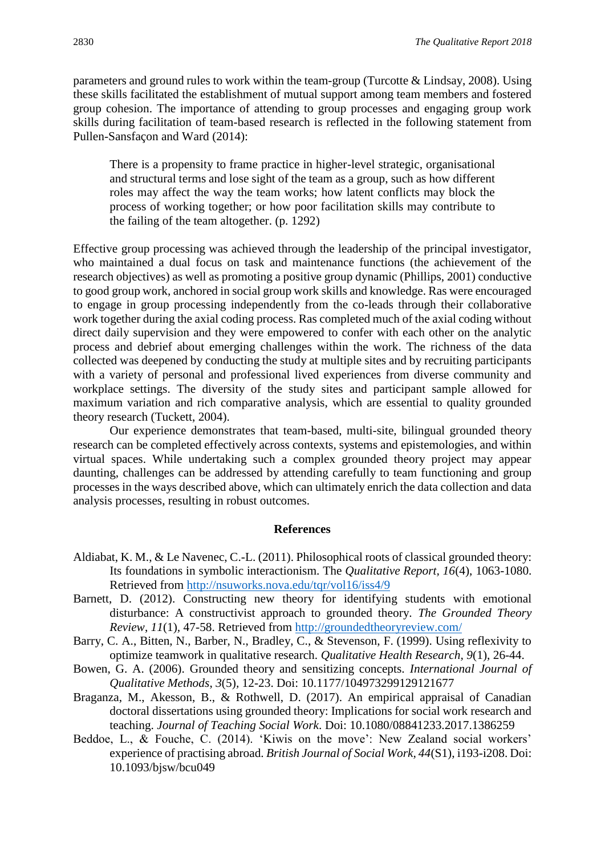parameters and ground rules to work within the team-group (Turcotte & Lindsay, 2008). Using these skills facilitated the establishment of mutual support among team members and fostered group cohesion. The importance of attending to group processes and engaging group work skills during facilitation of team-based research is reflected in the following statement from Pullen-Sansfaçon and Ward (2014):

There is a propensity to frame practice in higher-level strategic, organisational and structural terms and lose sight of the team as a group, such as how different roles may affect the way the team works; how latent conflicts may block the process of working together; or how poor facilitation skills may contribute to the failing of the team altogether. (p. 1292)

Effective group processing was achieved through the leadership of the principal investigator, who maintained a dual focus on task and maintenance functions (the achievement of the research objectives) as well as promoting a positive group dynamic (Phillips, 2001) conductive to good group work, anchored in social group work skills and knowledge. Ras were encouraged to engage in group processing independently from the co-leads through their collaborative work together during the axial coding process. Ras completed much of the axial coding without direct daily supervision and they were empowered to confer with each other on the analytic process and debrief about emerging challenges within the work. The richness of the data collected was deepened by conducting the study at multiple sites and by recruiting participants with a variety of personal and professional lived experiences from diverse community and workplace settings. The diversity of the study sites and participant sample allowed for maximum variation and rich comparative analysis, which are essential to quality grounded theory research (Tuckett, 2004).

Our experience demonstrates that team-based, multi-site, bilingual grounded theory research can be completed effectively across contexts, systems and epistemologies, and within virtual spaces. While undertaking such a complex grounded theory project may appear daunting, challenges can be addressed by attending carefully to team functioning and group processes in the ways described above, which can ultimately enrich the data collection and data analysis processes, resulting in robust outcomes.

#### **References**

- Aldiabat, K. M., & Le Navenec, C.-L. (2011). Philosophical roots of classical grounded theory: Its foundations in symbolic interactionism. The *Qualitative Report, 16*(4), 1063-1080. Retrieved from<http://nsuworks.nova.edu/tqr/vol16/iss4/9>
- Barnett, D. (2012). Constructing new theory for identifying students with emotional disturbance: A constructivist approach to grounded theory. *The Grounded Theory Review*, *11*(1)*,* 47-58. Retrieved from<http://groundedtheoryreview.com/>
- Barry, C. A., Bitten, N., Barber, N., Bradley, C., & Stevenson, F. (1999). Using reflexivity to optimize teamwork in qualitative research. *Qualitative Health Research, 9*(1), 26-44.
- Bowen, G. A. (2006). Grounded theory and sensitizing concepts. *International Journal of Qualitative Methods*, *3*(5)*,* 12-23. Doi: 10.1177/104973299129121677
- Braganza, M., Akesson, B., & Rothwell, D. (2017). An empirical appraisal of Canadian doctoral dissertations using grounded theory: Implications for social work research and teaching. *Journal of Teaching Social Work*. Doi: 10.1080/08841233.2017.1386259
- Beddoe, L., & Fouche, C. (2014). 'Kiwis on the move': New Zealand social workers' experience of practising abroad. *British Journal of Social Work, 44*(S1), i193-i208. Doi: 10.1093/bjsw/bcu049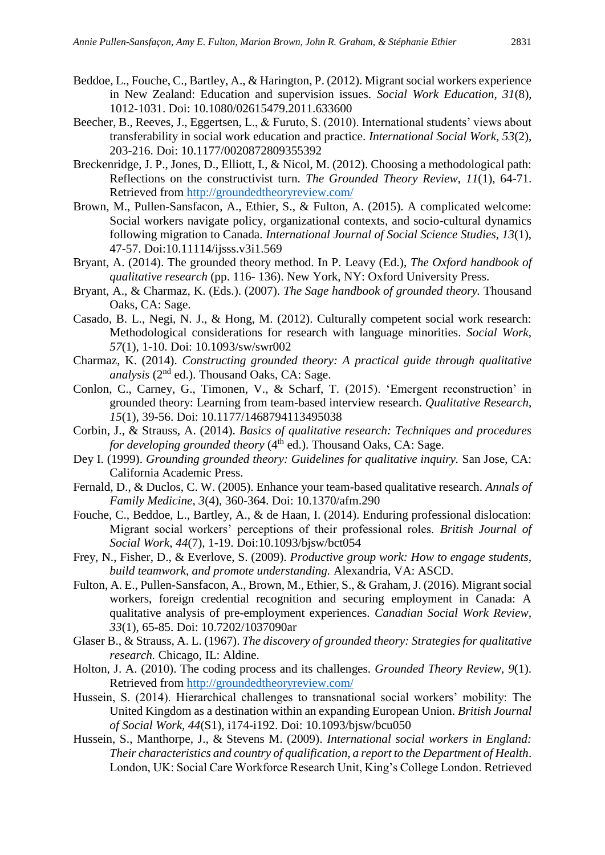- Beddoe, L., Fouche, C., Bartley, A., & Harington, P. (2012). Migrant social workers experience in New Zealand: Education and supervision issues. *Social Work Education, 31*(8), 1012-1031. Doi: 10.1080/02615479.2011.633600
- Beecher, B., Reeves, J., Eggertsen, L., & Furuto, S. (2010). International students' views about transferability in social work education and practice. *International Social Work, 53*(2), 203-216. Doi: 10.1177/0020872809355392
- Breckenridge, J. P., Jones, D., Elliott, I., & Nicol, M. (2012). Choosing a methodological path: Reflections on the constructivist turn. *The Grounded Theory Review*, *11*(1)*,* 64-71. Retrieved from<http://groundedtheoryreview.com/>
- Brown, M., Pullen-Sansfacon, A., Ethier, S., & Fulton, A. (2015). A complicated welcome: Social workers navigate policy, organizational contexts, and socio-cultural dynamics following migration to Canada. *International Journal of Social Science Studies, 13*(1), 47-57. Doi:10.11114/ijsss.v3i1.569
- Bryant, A. (2014). The grounded theory method. In P. Leavy (Ed.), *The Oxford handbook of qualitative research* (pp. 116- 136). New York, NY: Oxford University Press.
- Bryant, A., & Charmaz, K. (Eds.). (2007). *The Sage handbook of grounded theory.* Thousand Oaks, CA: Sage.
- Casado, B. L., Negi, N. J., & Hong, M. (2012). Culturally competent social work research: Methodological considerations for research with language minorities. *Social Work, 57*(1), 1-10. Doi: 10.1093/sw/swr002
- Charmaz, K. (2014). *Constructing grounded theory: A practical guide through qualitative analysis* (2nd ed.). Thousand Oaks, CA: Sage.
- Conlon, C., Carney, G., Timonen, V., & Scharf, T. (2015). 'Emergent reconstruction' in grounded theory: Learning from team-based interview research. *Qualitative Research*, *15*(1)*,* 39-56. Doi: 10.1177/1468794113495038
- Corbin, J., & Strauss, A. (2014). *Basics of qualitative research: Techniques and procedures for developing grounded theory* (4<sup>th</sup> ed.). Thousand Oaks, CA: Sage.
- Dey I. (1999). *Grounding grounded theory: Guidelines for qualitative inquiry.* San Jose, CA: California Academic Press.
- Fernald, D., & Duclos, C. W. (2005). Enhance your team-based qualitative research. *Annals of Family Medicine, 3*(4), 360-364. Doi: 10.1370/afm.290
- Fouche, C., Beddoe, L., Bartley, A., & de Haan, I. (2014). Enduring professional dislocation: Migrant social workers' perceptions of their professional roles. *British Journal of Social Work*, *44*(7), 1-19. Doi:10.1093/bjsw/bct054
- Frey, N., Fisher, D., & Everlove, S. (2009). *Productive group work: How to engage students, build teamwork, and promote understanding.* Alexandria, VA: ASCD.
- Fulton, A. E., Pullen-Sansfacon, A., Brown, M., Ethier, S., & Graham, J. (2016). Migrant social workers, foreign credential recognition and securing employment in Canada: A qualitative analysis of pre-employment experiences. *Canadian Social Work Review, 33*(1), 65-85. Doi: 10.7202/1037090ar
- Glaser B., & Strauss, A. L. (1967). *The discovery of grounded theory: Strategies for qualitative research.* Chicago, IL: Aldine.
- Holton, J. A. (2010). The coding process and its challenges*. Grounded Theory Review, 9*(1). Retrieved from<http://groundedtheoryreview.com/>
- Hussein, S. (2014). Hierarchical challenges to transnational social workers' mobility: The United Kingdom as a destination within an expanding European Union. *British Journal of Social Work, 44*(S1), i174-i192. Doi: 10.1093/bjsw/bcu050
- Hussein, S., Manthorpe, J., & Stevens M. (2009). *International social workers in England: Their characteristics and country of qualification, a report to the Department of Health*. London, UK: Social Care Workforce Research Unit, King's College London. Retrieved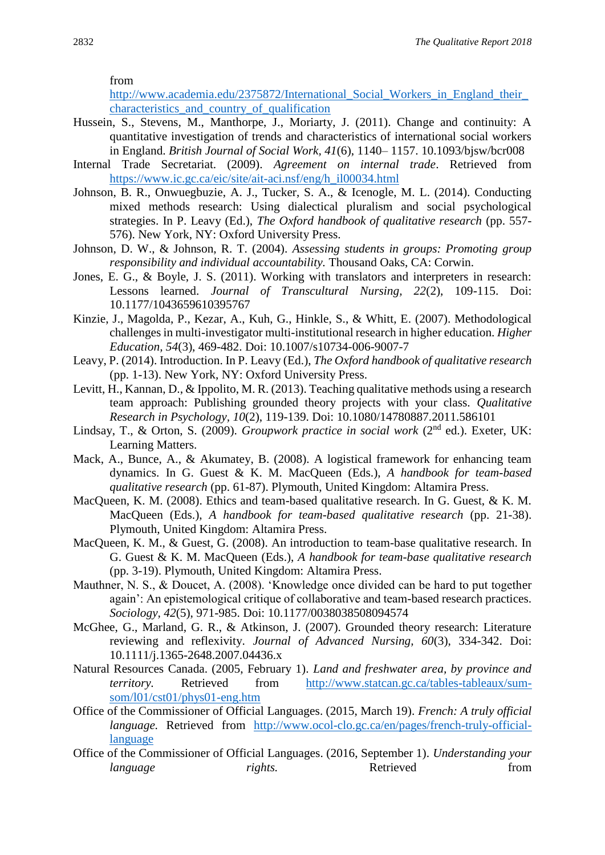from

http://www.academia.edu/2375872/International\_Social\_Workers\_in\_England\_their [characteristics\\_and\\_country\\_of\\_qualification](http://www.academia.edu/2375872/International_Social_Workers_in_England_their_characteristics_and_country_of_qualification)

- Hussein, S., Stevens, M., Manthorpe, J., Moriarty, J. (2011). Change and continuity: A quantitative investigation of trends and characteristics of international social workers in England. *British Journal of Social Work, 41*(6), 1140– 1157. 10.1093/bjsw/bcr008
- Internal Trade Secretariat. (2009). *Agreement on internal trade*. Retrieved from [https://www.ic.gc.ca/eic/site/ait-aci.nsf/eng/h\\_il00034.html](https://www.ic.gc.ca/eic/site/ait-aci.nsf/eng/h_il00034.html)
- Johnson, B. R., Onwuegbuzie, A. J., Tucker, S. A., & Icenogle, M. L. (2014). Conducting mixed methods research: Using dialectical pluralism and social psychological strategies. In P. Leavy (Ed.), *The Oxford handbook of qualitative research* (pp. 557- 576). New York, NY: Oxford University Press.
- Johnson, D. W., & Johnson, R. T. (2004). *Assessing students in groups: Promoting group responsibility and individual accountability.* Thousand Oaks, CA: Corwin.
- Jones, E. G., & Boyle, J. S. (2011). Working with translators and interpreters in research: Lessons learned. *Journal of Transcultural Nursing, 22*(2), 109-115. Doi: 10.1177/1043659610395767
- Kinzie, J., Magolda, P., Kezar, A., Kuh, G., Hinkle, S., & Whitt, E. (2007). Methodological challenges in multi-investigator multi-institutional research in higher education. *Higher Education, 54*(3), 469-482. Doi: 10.1007/s10734-006-9007-7
- Leavy, P. (2014). Introduction. In P. Leavy (Ed.), *The Oxford handbook of qualitative research* (pp. 1-13). New York, NY: Oxford University Press.
- Levitt, H., Kannan, D., & Ippolito, M. R. (2013). Teaching qualitative methods using a research team approach: Publishing grounded theory projects with your class. *Qualitative Research in Psychology, 10*(2), 119-139. Doi: 10.1080/14780887.2011.586101
- Lindsay, T., & Orton, S. (2009). *Groupwork practice in social work* (2nd ed.). Exeter, UK: Learning Matters.
- Mack, A., Bunce, A., & Akumatey, B. (2008). A logistical framework for enhancing team dynamics. In G. Guest & K. M. MacQueen (Eds.), *A handbook for team-based qualitative research* (pp. 61-87). Plymouth, United Kingdom: Altamira Press.
- MacQueen, K. M. (2008). Ethics and team-based qualitative research. In G. Guest, & K. M. MacQueen (Eds.), *A handbook for team-based qualitative research* (pp. 21-38). Plymouth, United Kingdom: Altamira Press.
- MacQueen, K. M., & Guest, G. (2008). An introduction to team-base qualitative research. In G. Guest & K. M. MacQueen (Eds.), *A handbook for team-base qualitative research*  (pp. 3-19). Plymouth, United Kingdom: Altamira Press.
- Mauthner, N. S., & Doucet, A. (2008). 'Knowledge once divided can be hard to put together again': An epistemological critique of collaborative and team-based research practices. *Sociology, 42*(5), 971-985. Doi: 10.1177/0038038508094574
- McGhee, G., Marland, G. R., & Atkinson, J. (2007). Grounded theory research: Literature reviewing and reflexivity. *Journal of Advanced Nursing, 60*(3), 334-342. Doi: 10.1111/j.1365-2648.2007.04436.x
- Natural Resources Canada. (2005, February 1). *Land and freshwater area, by province and territory.* Retrieved from [http://www.statcan.gc.ca/tables-tableaux/sum](http://www.statcan.gc.ca/tables-tableaux/sum-som/l01/cst01/phys01-eng.htm)[som/l01/cst01/phys01-eng.htm](http://www.statcan.gc.ca/tables-tableaux/sum-som/l01/cst01/phys01-eng.htm)
- Office of the Commissioner of Official Languages. (2015, March 19). *French: A truly official language.* Retrieved from [http://www.ocol-clo.gc.ca/en/pages/french-truly-official](http://www.ocol-clo.gc.ca/en/pages/french-truly-official-language)[language](http://www.ocol-clo.gc.ca/en/pages/french-truly-official-language)
- Office of the Commissioner of Official Languages. (2016, September 1). *Understanding your language rights.* Retrieved from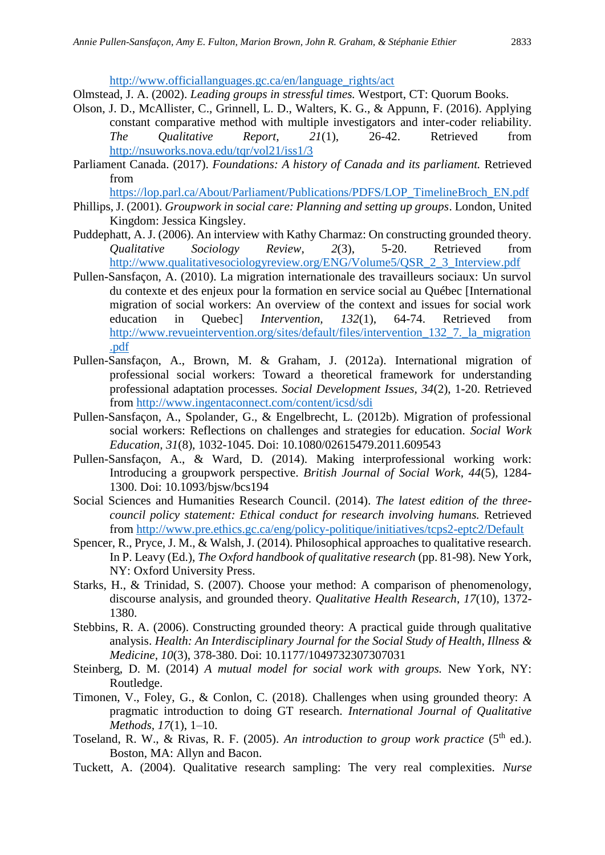[http://www.officiallanguages.gc.ca/en/language\\_rights/act](http://www.officiallanguages.gc.ca/en/language_rights/act)

Olmstead, J. A. (2002). *Leading groups in stressful times.* Westport, CT: Quorum Books.

- Olson, J. D., McAllister, C., Grinnell, L. D., Walters, K. G., & Appunn, F. (2016). Applying constant comparative method with multiple investigators and inter-coder reliability. *The Qualitative Report, 21*(1), 26-42. Retrieved from <http://nsuworks.nova.edu/tqr/vol21/iss1/3>
- Parliament Canada. (2017). *Foundations: A history of Canada and its parliament.* Retrieved from

[https://lop.parl.ca/About/Parliament/Publications/PDFS/LOP\\_TimelineBroch\\_EN.pdf](https://lop.parl.ca/About/Parliament/Publications/PDFS/LOP_TimelineBroch_EN.pdf)

- Phillips, J. (2001). *Groupwork in social care: Planning and setting up groups*. London, United Kingdom: Jessica Kingsley.
- Puddephatt, A. J. (2006). An interview with Kathy Charmaz: On constructing grounded theory. *Qualitative Sociology Review*, *2*(3), 5-20. Retrieved from [http://www.qualitativesociologyreview.org/ENG/Volume5/QSR\\_2\\_3\\_Interview.pdf](http://www.qualitativesociologyreview.org/ENG/Volume5/QSR_2_3_Interview.pdf)
- Pullen-Sansfaçon, A. (2010). La migration internationale des travailleurs sociaux: Un survol du contexte et des enjeux pour la formation en service social au Québec [International migration of social workers: An overview of the context and issues for social work education in Quebec] *Intervention, 132*(1), 64-74. Retrieved from http://www.revueintervention.org/sites/default/files/intervention 132 7. la migration [.pdf](http://www.revueintervention.org/sites/default/files/intervention_132_7._la_migration.pdf)
- Pullen-Sansfaçon, A., Brown, M. & Graham, J. (2012a). International migration of professional social workers: Toward a theoretical framework for understanding professional adaptation processes. *Social Development Issues, 34*(2), 1-20. Retrieved from<http://www.ingentaconnect.com/content/icsd/sdi>
- Pullen-Sansfaçon, A., Spolander, G., & Engelbrecht, L. (2012b). Migration of professional social workers: Reflections on challenges and strategies for education. *Social Work Education, 31*(8), 1032-1045. Doi: 10.1080/02615479.2011.609543
- Pullen-Sansfaçon, A., & Ward, D. (2014). Making interprofessional working work: Introducing a groupwork perspective. *British Journal of Social Work, 44*(5)*,* 1284- 1300. Doi: 10.1093/bjsw/bcs194
- Social Sciences and Humanities Research Council. (2014). *The latest edition of the threecouncil policy statement: Ethical conduct for research involving humans.* Retrieved from<http://www.pre.ethics.gc.ca/eng/policy-politique/initiatives/tcps2-eptc2/Default>
- Spencer, R., Pryce, J. M., & Walsh, J. (2014). Philosophical approaches to qualitative research. In P. Leavy (Ed.), *The Oxford handbook of qualitative research* (pp. 81-98). New York, NY: Oxford University Press.
- Starks, H., & Trinidad, S. (2007). Choose your method: A comparison of phenomenology, discourse analysis, and grounded theory. *Qualitative Health Research*, *17*(10)*,* 1372- 1380.
- Stebbins, R. A. (2006). Constructing grounded theory: A practical guide through qualitative analysis. *Health: An Interdisciplinary Journal for the Social Study of Health, Illness & Medicine, 10*(3), 378-380. Doi: 10.1177/1049732307307031
- Steinberg, D. M. (2014) *A mutual model for social work with groups.* New York, NY: Routledge.
- Timonen, V., Foley, G., & Conlon, C. (2018). Challenges when using grounded theory: A pragmatic introduction to doing GT research. *International Journal of Qualitative Methods, 17*(1), 1–10.
- Toseland, R. W., & Rivas, R. F. (2005). An introduction to group work practice (5<sup>th</sup> ed.). Boston, MA: Allyn and Bacon.
- Tuckett, A. (2004). Qualitative research sampling: The very real complexities. *Nurse*